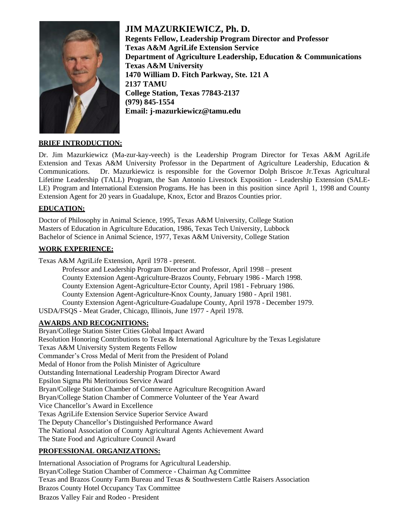

**JIM MAZURKIEWICZ, Ph. D. Regents Fellow, Leadership Program Director and Professor Texas A&M AgriLife Extension Service Department of Agriculture Leadership, Education & Communications Texas A&M University 1470 William D. Fitch Parkway, Ste. 121 A 2137 TAMU College Station, Texas 77843-2137 (979) 845-1554 Email: j-mazurkiewicz@tamu.edu**

**BRIEF INTRODUCTION:**

Dr. Jim Mazurkiewicz (Ma-zur-kay-veech) is the Leadership Program Director for Texas A&M AgriLife Extension and Texas A&M University Professor in the Department of Agriculture Leadership, Education & Communications. Dr. Mazurkiewicz is responsible for the Governor Dolph Briscoe Jr.Texas Agricultural Lifetime Leadership (TALL) Program, the San Antonio Livestock Exposition - Leadership Extension (SALE-LE) Program and International Extension Programs. He has been in this position since April 1, 1998 and County Extension Agent for 20 years in Guadalupe, Knox, Ector and Brazos Counties prior.

### **EDUCATION:**

Doctor of Philosophy in Animal Science, 1995, Texas A&M University, College Station Masters of Education in Agriculture Education, 1986, Texas Tech University, Lubbock Bachelor of Science in Animal Science, 1977, Texas A&M University, College Station

## **WORK EXPERIENCE:**

Texas A&M AgriLife Extension, April 1978 - present.

Professor and Leadership Program Director and Professor, April 1998 – present County Extension Agent-Agriculture-Brazos County, February 1986 - March 1998. County Extension Agent-Agriculture-Ector County, April 1981 - February 1986. County Extension Agent-Agriculture-Knox County, January 1980 - April 1981.

County Extension Agent-Agriculture-Guadalupe County, April 1978 - December 1979.

USDA/FSQS - Meat Grader, Chicago, Illinois, June 1977 - April 1978.

#### **AWARDS AND RECOGNITIONS:**

Bryan/College Station Sister Cities Global Impact Award Resolution Honoring Contributions to Texas & International Agriculture by the Texas Legislature Texas A&M University System Regents Fellow Commander's Cross Medal of Merit from the President of Poland Medal of Honor from the Polish Minister of Agriculture Outstanding International Leadership Program Director Award Epsilon Sigma Phi Meritorious Service Award Bryan/College Station Chamber of Commerce Agriculture Recognition Award Bryan/College Station Chamber of Commerce Volunteer of the Year Award Vice Chancellor's Award in Excellence Texas AgriLife Extension Service Superior Service Award The Deputy Chancellor's Distinguished Performance Award The National Association of County Agricultural Agents Achievement Award The State Food and Agriculture Council Award

## **PROFESSIONAL ORGANIZATIONS:**

International Association of Programs for Agricultural Leadership. Bryan/College Station Chamber of Commerce - Chairman Ag Committee Texas and Brazos County Farm Bureau and Texas & Southwestern Cattle Raisers Association Brazos County Hotel Occupancy Tax Committee Brazos Valley Fair and Rodeo - President